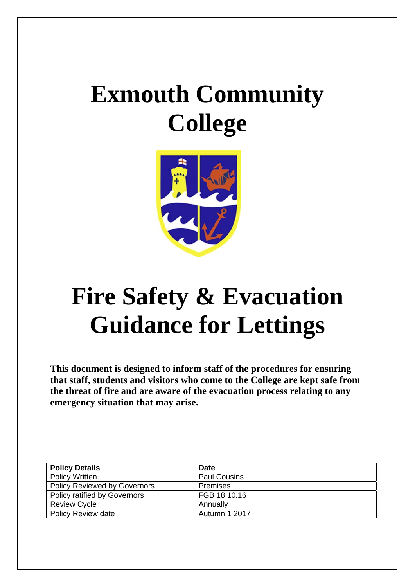# **Exmouth Community College**



# **Fire Safety & Evacuation Guidance for Lettings**

**This document is designed to inform staff of the procedures for ensuring that staff, students and visitors who come to the College are kept safe from the threat of fire and are aware of the evacuation process relating to any emergency situation that may arise.** 

| <b>Policy Details</b>               | <b>Date</b>         |
|-------------------------------------|---------------------|
| <b>Policy Written</b>               | <b>Paul Cousins</b> |
| <b>Policy Reviewed by Governors</b> | <b>Premises</b>     |
| <b>Policy ratified by Governors</b> | FGB 18.10.16        |
| <b>Review Cycle</b>                 | Annually            |
| <b>Policy Review date</b>           | Autumn 1 2017       |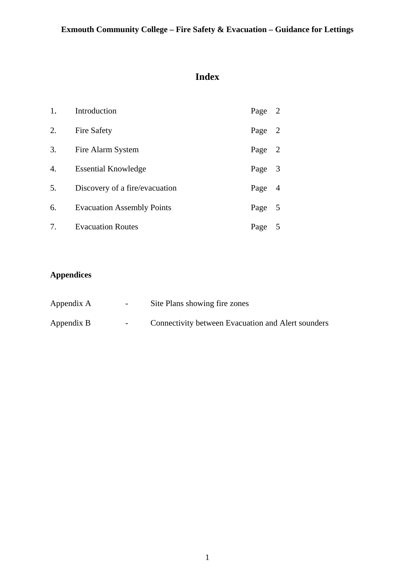# **Index**

| 1. | Introduction                      | Page   | 2              |
|----|-----------------------------------|--------|----------------|
| 2. | <b>Fire Safety</b>                | Page   | $\overline{2}$ |
| 3. | Fire Alarm System                 | Page 2 |                |
| 4. | <b>Essential Knowledge</b>        | Page 3 |                |
| 5. | Discovery of a fire/evacuation    | Page   | -4             |
| 6. | <b>Evacuation Assembly Points</b> | Page 5 |                |
| 7. | <b>Evacuation Routes</b>          | Page 5 |                |

# **Appendices**

| Appendix A | $\sim$ | Site Plans showing fire zones                      |
|------------|--------|----------------------------------------------------|
| Appendix B | $\sim$ | Connectivity between Evacuation and Alert sounders |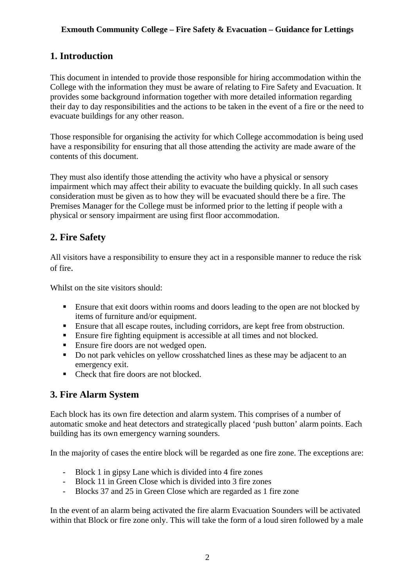## **1. Introduction**

This document in intended to provide those responsible for hiring accommodation within the College with the information they must be aware of relating to Fire Safety and Evacuation. It provides some background information together with more detailed information regarding their day to day responsibilities and the actions to be taken in the event of a fire or the need to evacuate buildings for any other reason.

Those responsible for organising the activity for which College accommodation is being used have a responsibility for ensuring that all those attending the activity are made aware of the contents of this document.

They must also identify those attending the activity who have a physical or sensory impairment which may affect their ability to evacuate the building quickly. In all such cases consideration must be given as to how they will be evacuated should there be a fire. The Premises Manager for the College must be informed prior to the letting if people with a physical or sensory impairment are using first floor accommodation.

## **2. Fire Safety**

All visitors have a responsibility to ensure they act in a responsible manner to reduce the risk of fire.

Whilst on the site visitors should:

- **Ensure that exit doors within rooms and doors leading to the open are not blocked by** items of furniture and/or equipment.
- Ensure that all escape routes, including corridors, are kept free from obstruction.
- Ensure fire fighting equipment is accessible at all times and not blocked.
- **Ensure fire doors are not wedged open.**
- Do not park vehicles on yellow crosshatched lines as these may be adjacent to an emergency exit.
- Check that fire doors are not blocked.

## **3. Fire Alarm System**

Each block has its own fire detection and alarm system. This comprises of a number of automatic smoke and heat detectors and strategically placed 'push button' alarm points. Each building has its own emergency warning sounders.

In the majority of cases the entire block will be regarded as one fire zone. The exceptions are:

- Block 1 in gipsy Lane which is divided into 4 fire zones
- Block 11 in Green Close which is divided into 3 fire zones
- Blocks 37 and 25 in Green Close which are regarded as 1 fire zone

In the event of an alarm being activated the fire alarm Evacuation Sounders will be activated within that Block or fire zone only. This will take the form of a loud siren followed by a male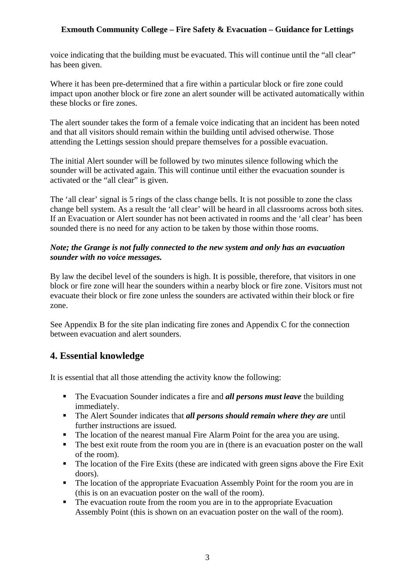voice indicating that the building must be evacuated. This will continue until the "all clear" has been given.

Where it has been pre-determined that a fire within a particular block or fire zone could impact upon another block or fire zone an alert sounder will be activated automatically within these blocks or fire zones.

The alert sounder takes the form of a female voice indicating that an incident has been noted and that all visitors should remain within the building until advised otherwise. Those attending the Lettings session should prepare themselves for a possible evacuation.

The initial Alert sounder will be followed by two minutes silence following which the sounder will be activated again. This will continue until either the evacuation sounder is activated or the "all clear" is given.

The 'all clear' signal is 5 rings of the class change bells. It is not possible to zone the class change bell system. As a result the 'all clear' will be heard in all classrooms across both sites. If an Evacuation or Alert sounder has not been activated in rooms and the 'all clear' has been sounded there is no need for any action to be taken by those within those rooms.

#### *Note; the Grange is not fully connected to the new system and only has an evacuation sounder with no voice messages.*

By law the decibel level of the sounders is high. It is possible, therefore, that visitors in one block or fire zone will hear the sounders within a nearby block or fire zone. Visitors must not evacuate their block or fire zone unless the sounders are activated within their block or fire zone.

See Appendix B for the site plan indicating fire zones and Appendix C for the connection between evacuation and alert sounders.

## **4. Essential knowledge**

It is essential that all those attending the activity know the following:

- The Evacuation Sounder indicates a fire and *all persons must leave* the building immediately.
- The Alert Sounder indicates that *all persons should remain where they are* until further instructions are issued.
- The location of the nearest manual Fire Alarm Point for the area you are using.
- The best exit route from the room you are in (there is an evacuation poster on the wall of the room).
- The location of the Fire Exits (these are indicated with green signs above the Fire Exit doors).
- The location of the appropriate Evacuation Assembly Point for the room you are in (this is on an evacuation poster on the wall of the room).
- The evacuation route from the room you are in to the appropriate Evacuation Assembly Point (this is shown on an evacuation poster on the wall of the room).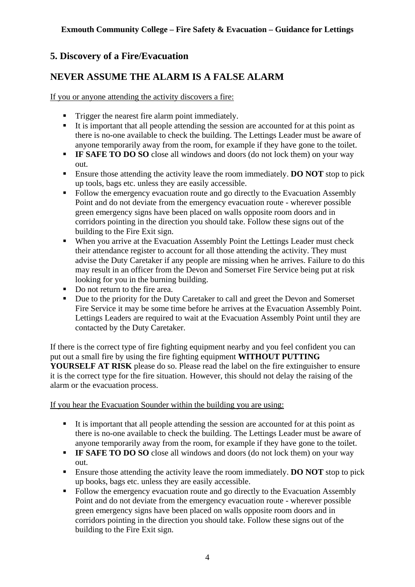## **5. Discovery of a Fire/Evacuation**

## **NEVER ASSUME THE ALARM IS A FALSE ALARM**

If you or anyone attending the activity discovers a fire:

- **Trigger the nearest fire alarm point immediately.**
- It is important that all people attending the session are accounted for at this point as there is no-one available to check the building. The Lettings Leader must be aware of anyone temporarily away from the room, for example if they have gone to the toilet.
- **IF SAFE TO DO SO** close all windows and doors (do not lock them) on your way out.
- Ensure those attending the activity leave the room immediately. **DO NOT** stop to pick up tools, bags etc. unless they are easily accessible.
- Follow the emergency evacuation route and go directly to the Evacuation Assembly Point and do not deviate from the emergency evacuation route - wherever possible green emergency signs have been placed on walls opposite room doors and in corridors pointing in the direction you should take. Follow these signs out of the building to the Fire Exit sign.
- When you arrive at the Evacuation Assembly Point the Lettings Leader must check their attendance register to account for all those attending the activity. They must advise the Duty Caretaker if any people are missing when he arrives. Failure to do this may result in an officer from the Devon and Somerset Fire Service being put at risk looking for you in the burning building.
- Do not return to the fire area.
- Due to the priority for the Duty Caretaker to call and greet the Devon and Somerset Fire Service it may be some time before he arrives at the Evacuation Assembly Point. Lettings Leaders are required to wait at the Evacuation Assembly Point until they are contacted by the Duty Caretaker.

If there is the correct type of fire fighting equipment nearby and you feel confident you can put out a small fire by using the fire fighting equipment **WITHOUT PUTTING YOURSELF AT RISK** please do so. Please read the label on the fire extinguisher to ensure it is the correct type for the fire situation. However, this should not delay the raising of the alarm or the evacuation process.

If you hear the Evacuation Sounder within the building you are using:

- It is important that all people attending the session are accounted for at this point as there is no-one available to check the building. The Lettings Leader must be aware of anyone temporarily away from the room, for example if they have gone to the toilet.
- **IF SAFE TO DO SO** close all windows and doors (do not lock them) on your way out.
- Ensure those attending the activity leave the room immediately. **DO NOT** stop to pick up books, bags etc. unless they are easily accessible.
- Follow the emergency evacuation route and go directly to the Evacuation Assembly Point and do not deviate from the emergency evacuation route - wherever possible green emergency signs have been placed on walls opposite room doors and in corridors pointing in the direction you should take. Follow these signs out of the building to the Fire Exit sign.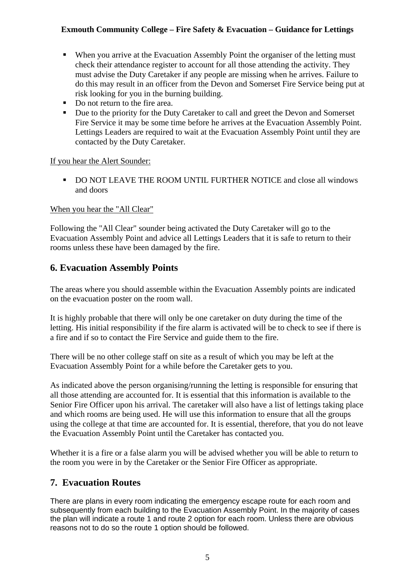- When you arrive at the Evacuation Assembly Point the organiser of the letting must check their attendance register to account for all those attending the activity. They must advise the Duty Caretaker if any people are missing when he arrives. Failure to do this may result in an officer from the Devon and Somerset Fire Service being put at risk looking for you in the burning building.
- Do not return to the fire area.
- Due to the priority for the Duty Caretaker to call and greet the Devon and Somerset Fire Service it may be some time before he arrives at the Evacuation Assembly Point. Lettings Leaders are required to wait at the Evacuation Assembly Point until they are contacted by the Duty Caretaker.

If you hear the Alert Sounder:

 DO NOT LEAVE THE ROOM UNTIL FURTHER NOTICE and close all windows and doors

When you hear the "All Clear"

Following the "All Clear" sounder being activated the Duty Caretaker will go to the Evacuation Assembly Point and advice all Lettings Leaders that it is safe to return to their rooms unless these have been damaged by the fire.

## **6. Evacuation Assembly Points**

The areas where you should assemble within the Evacuation Assembly points are indicated on the evacuation poster on the room wall.

It is highly probable that there will only be one caretaker on duty during the time of the letting. His initial responsibility if the fire alarm is activated will be to check to see if there is a fire and if so to contact the Fire Service and guide them to the fire.

There will be no other college staff on site as a result of which you may be left at the Evacuation Assembly Point for a while before the Caretaker gets to you.

As indicated above the person organising/running the letting is responsible for ensuring that all those attending are accounted for. It is essential that this information is available to the Senior Fire Officer upon his arrival. The caretaker will also have a list of lettings taking place and which rooms are being used. He will use this information to ensure that all the groups using the college at that time are accounted for. It is essential, therefore, that you do not leave the Evacuation Assembly Point until the Caretaker has contacted you.

Whether it is a fire or a false alarm you will be advised whether you will be able to return to the room you were in by the Caretaker or the Senior Fire Officer as appropriate.

## **7. Evacuation Routes**

There are plans in every room indicating the emergency escape route for each room and subsequently from each building to the Evacuation Assembly Point. In the majority of cases the plan will indicate a route 1 and route 2 option for each room. Unless there are obvious reasons not to do so the route 1 option should be followed.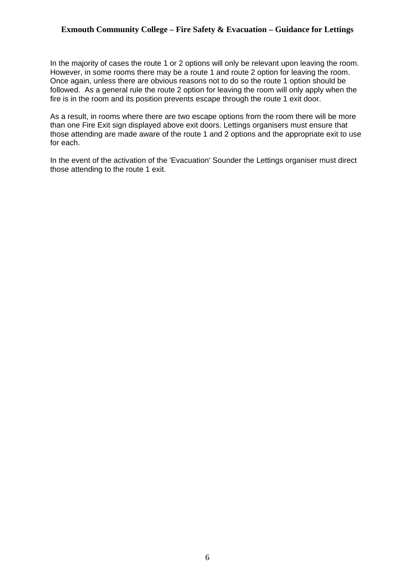In the majority of cases the route 1 or 2 options will only be relevant upon leaving the room. However, in some rooms there may be a route 1 and route 2 option for leaving the room. Once again, unless there are obvious reasons not to do so the route 1 option should be followed. As a general rule the route 2 option for leaving the room will only apply when the fire is in the room and its position prevents escape through the route 1 exit door.

As a result, in rooms where there are two escape options from the room there will be more than one Fire Exit sign displayed above exit doors. Lettings organisers must ensure that those attending are made aware of the route 1 and 2 options and the appropriate exit to use for each.

In the event of the activation of the 'Evacuation' Sounder the Lettings organiser must direct those attending to the route 1 exit.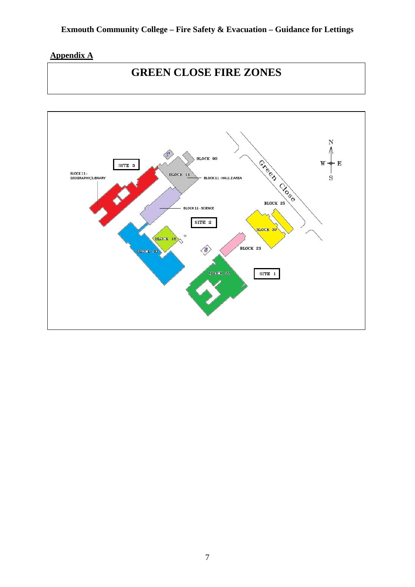## **Appendix A**

# **GREEN CLOSE FIRE ZONES**

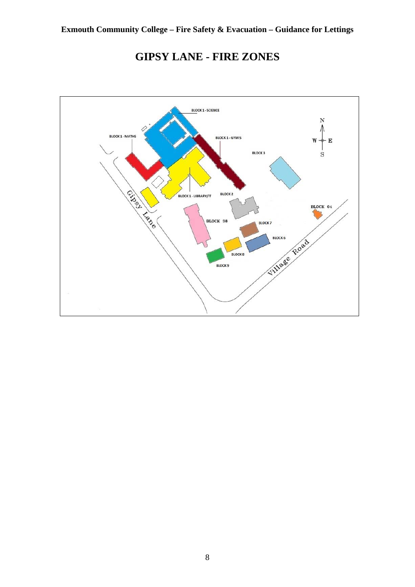

# **GIPSY LANE - FIRE ZONES**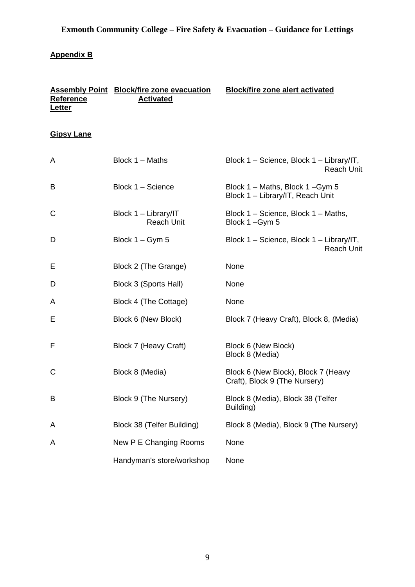## **Appendix B**

| Reference<br><b>Letter</b> | <b>Assembly Point Block/fire zone evacuation</b><br><b>Activated</b> | <b>Block/fire zone alert activated</b>                               |
|----------------------------|----------------------------------------------------------------------|----------------------------------------------------------------------|
| <b>Gipsy Lane</b>          |                                                                      |                                                                      |
| A                          | Block 1 - Maths                                                      | Block 1 - Science, Block 1 - Library/IT,<br><b>Reach Unit</b>        |
| B                          | Block 1 - Science                                                    | Block 1 – Maths, Block 1 – Gym 5<br>Block 1 - Library/IT, Reach Unit |
| С                          | Block 1 - Library/IT<br><b>Reach Unit</b>                            | Block 1 – Science, Block 1 – Maths,<br>Block 1-Gym 5                 |
| D                          | Block $1 - Gym 5$                                                    | Block 1 – Science, Block 1 – Library/IT,<br><b>Reach Unit</b>        |
| Е                          | Block 2 (The Grange)                                                 | None                                                                 |
| D                          | Block 3 (Sports Hall)                                                | None                                                                 |
| A                          | Block 4 (The Cottage)                                                | None                                                                 |
| Ε                          | Block 6 (New Block)                                                  | Block 7 (Heavy Craft), Block 8, (Media)                              |
| F                          | Block 7 (Heavy Craft)                                                | Block 6 (New Block)<br>Block 8 (Media)                               |
| C                          | Block 8 (Media)                                                      | Block 6 (New Block), Block 7 (Heavy<br>Craft), Block 9 (The Nursery) |
| Β                          | Block 9 (The Nursery)                                                | Block 8 (Media), Block 38 (Telfer<br>Building)                       |
| Α                          | Block 38 (Telfer Building)                                           | Block 8 (Media), Block 9 (The Nursery)                               |
| Α                          | New P E Changing Rooms                                               | None                                                                 |
|                            | Handyman's store/workshop                                            | None                                                                 |